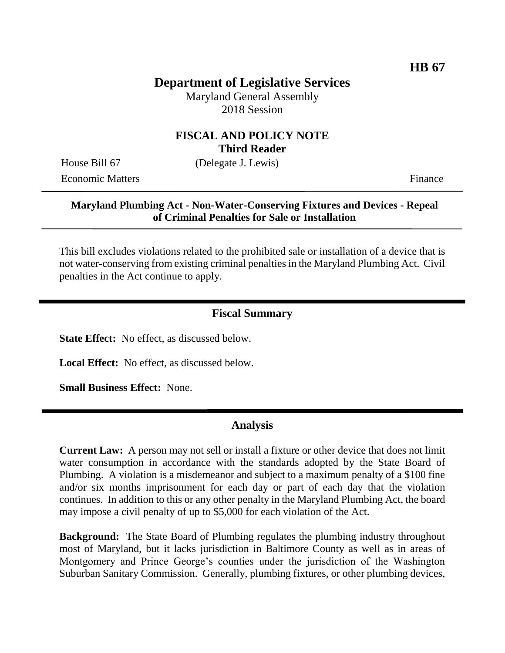# **Department of Legislative Services**

Maryland General Assembly 2018 Session

### **FISCAL AND POLICY NOTE Third Reader**

House Bill 67 (Delegate J. Lewis)

Economic Matters **Finance** 

#### **Maryland Plumbing Act - Non-Water-Conserving Fixtures and Devices - Repeal of Criminal Penalties for Sale or Installation**

This bill excludes violations related to the prohibited sale or installation of a device that is not water-conserving from existing criminal penalties in the Maryland Plumbing Act. Civil penalties in the Act continue to apply.

#### **Fiscal Summary**

**State Effect:** No effect, as discussed below.

**Local Effect:** No effect, as discussed below.

**Small Business Effect:** None.

#### **Analysis**

**Current Law:** A person may not sell or install a fixture or other device that does not limit water consumption in accordance with the standards adopted by the State Board of Plumbing. A violation is a misdemeanor and subject to a maximum penalty of a \$100 fine and/or six months imprisonment for each day or part of each day that the violation continues. In addition to this or any other penalty in the Maryland Plumbing Act, the board may impose a civil penalty of up to \$5,000 for each violation of the Act.

**Background:** The State Board of Plumbing regulates the plumbing industry throughout most of Maryland, but it lacks jurisdiction in Baltimore County as well as in areas of Montgomery and Prince George's counties under the jurisdiction of the Washington Suburban Sanitary Commission. Generally, plumbing fixtures, or other plumbing devices,